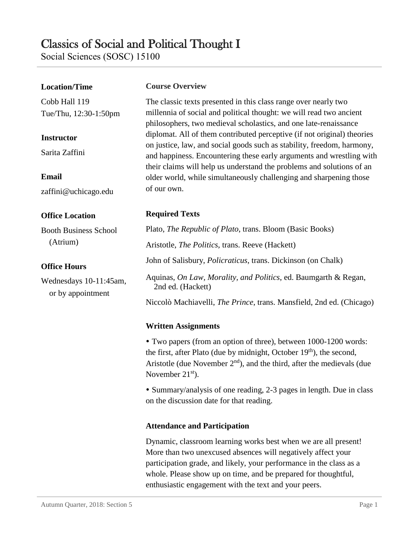# Classics of Social and Political Thought I

Social Sciences (SOSC) 15100

## **Location/Time**

Cobb Hall 119 Tue/Thu, 12:30-1:50pm

## **Instructor**

Sarita Zaffini

#### **Email**

zaffini@uchicago.edu

## **Office Location**

Booth Business School (Atrium)

### **Office Hours**

Wednesdays 10-11:45am, or by appointment

#### **Course Overview**

The classic texts presented in this class range over nearly two millennia of social and political thought: we will read two ancient philosophers, two medieval scholastics, and one late-renaissance diplomat. All of them contributed perceptive (if not original) theories on justice, law, and social goods such as stability, freedom, harmony, and happiness. Encountering these early arguments and wrestling with their claims will help us understand the problems and solutions of an older world, while simultaneously challenging and sharpening those of our own.

# **Required Texts**

Plato, *The Republic of Plato*, trans. Bloom (Basic Books) Aristotle, *The Politics*, trans. Reeve (Hackett) John of Salisbury, *Policraticus*, trans. Dickinson (on Chalk) Aquinas, *On Law, Morality, and Politics*, ed. Baumgarth & Regan, 2nd ed. (Hackett) Niccolò Machiavelli, *The Prince*, trans. Mansfield, 2nd ed. (Chicago)

# **Written Assignments**

 Two papers (from an option of three), between 1000-1200 words: the first, after Plato (due by midnight, October  $19<sup>th</sup>$ ), the second, Aristotle (due November  $2<sup>nd</sup>$ ), and the third, after the medievals (due November  $21<sup>st</sup>$ ).

• Summary/analysis of one reading, 2-3 pages in length. Due in class on the discussion date for that reading.

## **Attendance and Participation**

Dynamic, classroom learning works best when we are all present! More than two unexcused absences will negatively affect your participation grade, and likely, your performance in the class as a whole. Please show up on time, and be prepared for thoughtful, enthusiastic engagement with the text and your peers.